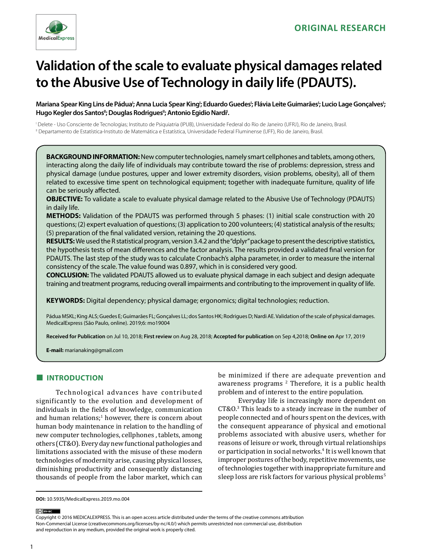

# **Validation of the scale to evaluate physical damages related to the Abusive Use of Technology in daily life (PDAUTS).**

Mariana Spear King Lins de Pádua'; Anna Lucia Spear King'; Eduardo Guedes'; Flávia Leite Guimarães'; Lucio Lage Gonçalves'; Hugo Kegler dos Santos"; Douglas Rodrigues"; Antonio Egidio Nardi'.

I Delete - Uso Consciente de Tecnologias; Instituto de Psiquiatria (IPUB), Universidade Federal do Rio de Janeiro (UFRJ), Rio de Janeiro, Brasil. II Departamento de Estatística-Instituto de Matemática e Estatística, Universidade Federal Fluminense (UFF), Rio de Janeiro, Brasil.

**BACKGROUND INFORMATION:** New computer technologies, namely smart cellphones and tablets, among others, interacting along the daily life of individuals may contribute toward the rise of problems: depression, stress and physical damage (undue postures, upper and lower extremity disorders, vision problems, obesity), all of them related to excessive time spent on technological equipment; together with inadequate furniture, quality of life can be seriously affected.

**OBJECTIVE:** To validate a scale to evaluate physical damage related to the Abusive Use of Technology (PDAUTS) in daily life.

**METHODS:** Validation of the PDAUTS was performed through 5 phases: (1) initial scale construction with 20 questions; (2) expert evaluation of questions; (3) application to 200 volunteers; (4) statistical analysis of the results; (5) preparation of the final validated version, retaining the 20 questions.

**RESULTS:** We used the R statistical program, version 3.4.2 and the "dplyr" package to present the descriptive statistics, the hypothesis tests of mean differences and the factor analysis. The results provided a validated final version for PDAUTS. The last step of the study was to calculate Cronbach's alpha parameter, in order to measure the internal consistency of the scale. The value found was 0.897, which in is considered very good.

**CONCLUSION:** The validated PDAUTS allowed us to evaluate physical damage in each subject and design adequate training and treatment programs, reducing overall impairments and contributing to the improvement in quality of life.

**KEYWORDS:** Digital dependency; physical damage; ergonomics; digital technologies; reduction.

Pádua MSKL; King ALS; Guedes E; Guimarães FL; Gonçalves LL; dos Santos HK; Rodrigues D; Nardi AE. Validation of the scale of physical damages. MedicalExpress (São Paulo, online). 2019;6: mo19004

**Received for Publication** on Jul 10, 2018; **First review** on Aug 28, 2018; **Accepted for publication** on Sep 4,2018; **Online on** Apr 17, 2019

**E-mail:** marianaking@gmail.com

# **■ INTRODUCTION**

Technological advances have contributed significantly to the evolution and development of individuals in the fields of knowledge, communication and human relations;<sup>1</sup> however, there is concern about human body maintenance in relation to the handling of new computer technologies, cellphones , tablets, among others (CT&O). Every day new functional pathologies and limitations associated with the misuse of these modern technologies of modernity arise, causing physical losses, diminishing productivity and consequently distancing thousands of people from the labor market, which can be minimized if there are adequate prevention and awareness programs <sup>2</sup> Therefore, it is a public health problem and of interest to the entire population.

Everyday life is increasingly more dependent on CT&O.<sup>3</sup> This leads to a steady increase in the number of people connected and of hours spent on the devices, with the consequent appearance of physical and emotional problems associated with abusive users, whether for reasons of leisure or work, through virtual relationships or participation in social networks.<sup>4</sup> It is well known that improper postures of the body, repetitive movements, use of technologies together with inappropriate furniture and sleep loss are risk factors for various physical problems<sup>5</sup>

(ce) BY-NC

Copyright © 2016 MEDICALEXPRESS. This is an open access article distributed under the terms of the creative commons attribution Non-Commercial License [\(creativecommons.org/licenses/by-nc/4.0/\)](http://creativecommons.org/licenses/by-nc/3.0/) which permits unrestricted non commercial use, distribution and reproduction in any medium, provided the original work is properly cited.

**DOI:** 10.5935/MedicalExpress.2019.mo.004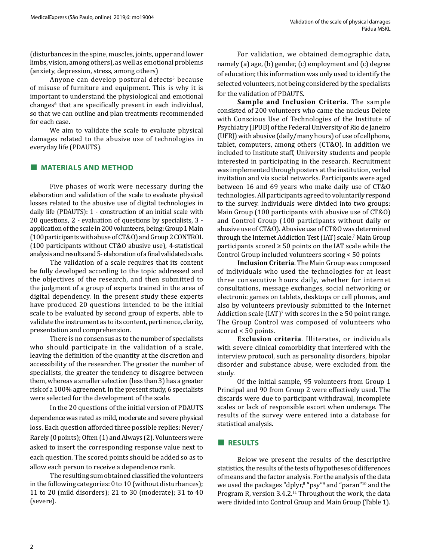(disturbances in the spine, muscles, joints, upper and lower limbs, vision, among others), as well as emotional problems (anxiety, depression, stress, among others)

Anyone can develop postural defects<sup>5</sup> because of misuse of furniture and equipment. This is why it is important to understand the physiological and emotional changes<sup>6</sup> that are specifically present in each individual, so that we can outline and plan treatments recommended for each case.

We aim to validate the scale to evaluate physical damages related to the abusive use of technologies in everyday life (PDAUTS).

# **■ MATERIALS AND METHOD**

Five phases of work were necessary during the elaboration and validation of the scale to evaluate physical losses related to the abusive use of digital technologies in daily life (PDAUTS): 1 - construction of an initial scale with 20 questions, 2 - evaluation of questions by specialists, 3 application of the scale in 200 volunteers, being: Group 1 Main (100 participants with abuse of CT&O) and Group 2 CONTROL (100 participants without CT&O abusive use), 4-statistical analysis and results and 5- elaboration of a final validated scale.

The validation of a scale requires that its content be fully developed according to the topic addressed and the objectives of the research, and then submitted to the judgment of a group of experts trained in the area of digital dependency. In the present study these experts have produced 20 questions intended to be the initial scale to be evaluated by second group of experts, able to validate the instrument as to its content, pertinence, clarity, presentation and comprehension.

There is no consensus as to the number of specialists who should participate in the validation of a scale, leaving the definition of the quantity at the discretion and accessibility of the researcher. The greater the number of specialists, the greater the tendency to disagree between them, whereas a smaller selection (less than 3) has a greater risk of a 100% agreement. In the present study, 6 specialists were selected for the development of the scale.

In the 20 questions of the initial version of PDAUTS dependence was rated as mild, moderate and severe physical loss. Each question afforded three possible replies: Never/ Rarely (0 points); Often (1) and Always (2). Volunteers were asked to insert the corresponding response value next to each question. The scored points should be added so as to allow each person to receive a dependence rank.

The resulting sum obtained classified the volunteers in the following categories: 0 to 10 (without disturbances); 11 to 20 (mild disorders); 21 to 30 (moderate); 31 to 40 (severe).

For validation, we obtained demographic data, namely (a) age, (b) gender, (c) employment and (c) degree of education; this information was only used to identify the selected volunteers, not being considered by the specialists for the validation of PDAUTS.

**Sample and Inclusion Criteria**. The sample consisted of 200 volunteers who came the nucleus Delete with Conscious Use of Technologies of the Institute of Psychiatry (IPUB) of the Federal University of Rio de Janeiro (UFRJ) with abusive (daily/many hours) of use of cellphone, tablet, computers, among others (CT&O). In addition we included to Institute staff, University students and people interested in participating in the research. Recruitment was implemented through posters at the institution, verbal invitation and via social networks. Participants were aged between 16 and 69 years who make daily use of CT&O technologies. All participants agreed to voluntarily respond to the survey. Individuals were divided into two groups: Main Group (100 participants with abusive use of CT&O) and Control Group (100 participants without daily or abusive use of CT&O). Abusive use of CT&O was determined through the Internet Addiction Test (IAT) scale.<sup>7</sup> Main Group participants scored  $\geq$  50 points on the IAT scale while the Control Group included volunteers scoring < 50 points

**Inclusion Criteria**. The Main Group was composed of individuals who used the technologies for at least three consecutive hours daily, whether for internet consultations, message exchanges, social networking or electronic games on tablets, desktops or cell phones, and also by volunteers previously submitted to the Internet Addiction scale (IAT)<sup>7</sup> with scores in the  $\geq 50$  point range. The Group Control was composed of volunteers who scored < 50 points.

**Exclusion criteria**. Illiterates, or individuals with severe clinical comorbidity that interfered with the interview protocol, such as personality disorders, bipolar disorder and substance abuse, were excluded from the study.

Of the initial sample, 95 volunteers from Group 1 Principal and 90 from Group 2 were effectively used. The discards were due to participant withdrawal, incomplete scales or lack of responsible escort when underage. The results of the survey were entered into a database for statistical analysis.

#### **■ RESULTS**

Below we present the results of the descriptive statistics, the results of the tests of hypotheses of differences of means and the factor analysis. For the analysis of the data we used the packages "dplyr," "psy"<sup>9</sup> and "paran"<sup>10</sup> and the Program R, version 3.4.2.<sup>11</sup> Throughout the work, the data were divided into Control Group and Main Group (Table 1).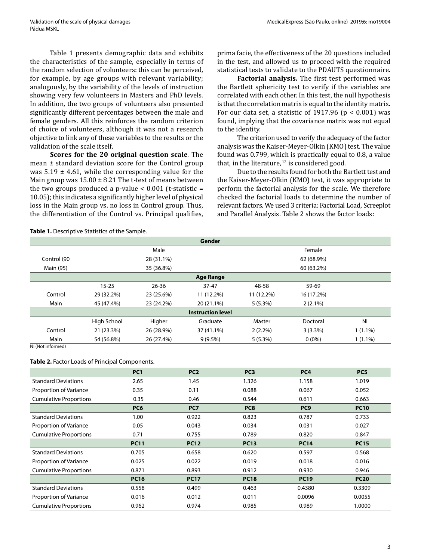Table 1 presents demographic data and exhibits the characteristics of the sample, especially in terms of the random selection of volunteers: this can be perceived, for example, by age groups with relevant variability; analogously, by the variability of the levels of instruction showing very few volunteers in Masters and PhD levels. In addition, the two groups of volunteers also presented significantly different percentages between the male and female genders. All this reinforces the random criterion of choice of volunteers, although it was not a research objective to link any of these variables to the results or the validation of the scale itself.

**Scores for the 20 original question scale**. The mean ± standard deviation score for the Control group was  $5.19 \pm 4.61$ , while the corresponding value for the Main group was  $15.00 \pm 8.21$  The t-test of means between the two groups produced a p-value  $< 0.001$  (t-statistic = 10.05); this indicates a significantly higher level of physical loss in the Main group vs. no loss in Control group. Thus, the differentiation of the Control vs. Principal qualifies,

prima facie, the effectiveness of the 20 questions included in the test, and allowed us to proceed with the required statistical tests to validate to the PDAUTS questionnaire.

**Factorial analysis.** The first test performed was the Bartlett sphericity test to verify if the variables are correlated with each other. In this test, the null hypothesis is that the correlation matrix is equal to the identity matrix. For our data set, a statistic of 1917.96 ( $p < 0.001$ ) was found, implying that the covariance matrix was not equal to the identity.

The criterion used to verify the adequacy of the factor analysis was the Kaiser-Meyer-Olkin (KMO) test. The value found was 0.799, which is practically equal to 0.8, a value that, in the literature,  $12$  is considered good.

Due to the results found for both the Bartlett test and the Kaiser-Meyer-Olkin (KMO) test, it was appropriate to perform the factorial analysis for the scale. We therefore checked the factorial loads to determine the number of relevant factors. We used 3 criteria: Factorial Load, Screeplot and Parallel Analysis. Table 2 shows the factor loads:

#### **Table 1.** Descriptive Statistics of the Sample.

|                                     |             |            | <b>Gender</b> |            |            |                |  |
|-------------------------------------|-------------|------------|---------------|------------|------------|----------------|--|
|                                     |             | Male       |               |            | Female     |                |  |
| Control (90                         | 28 (31.1%)  |            |               | 62 (68.9%) |            |                |  |
| Main (95)                           |             | 35 (36.8%) |               |            | 60 (63.2%) |                |  |
| <b>Age Range</b>                    |             |            |               |            |            |                |  |
|                                     | $15 - 25$   | $26 - 36$  | $37 - 47$     | 48-58      | 59-69      |                |  |
| Control                             | 29 (32.2%)  | 23 (25.6%) | 11 (12.2%)    | 11 (12.2%) | 16 (17.2%) |                |  |
| Main                                | 45 (47.4%)  | 23 (24.2%) | 20 (21.1%)    | 5(5.3%)    | $2(2.1\%)$ |                |  |
| <b>Instruction level</b>            |             |            |               |            |            |                |  |
|                                     | High School | Higher     | Graduate      | Master     | Doctoral   | N <sub>l</sub> |  |
| Control                             | 21 (23.3%)  | 26 (28.9%) | 37 (41.1%)    | $2(2.2\%)$ | $3(3.3\%)$ | $1(1.1\%)$     |  |
| Main<br>M11, N1, N2, N3, N4, N5, N5 | 54 (56.8%)  | 26 (27.4%) | $9(9.5\%)$    | 5(5.3%)    | $0(0\%)$   | $1(1.1\%)$     |  |

NI (Not informed)

#### **Table 2.** Factor Loads of Principal Components.

|                               | PC <sub>1</sub> | PC <sub>2</sub> | PC <sub>3</sub> | PC <sub>4</sub> | PC <sub>5</sub> |
|-------------------------------|-----------------|-----------------|-----------------|-----------------|-----------------|
| <b>Standard Deviations</b>    | 2.65            | 1.45            | 1.326           | 1.158           | 1.019           |
| Proportion of Variance        | 0.35            | 0.11            | 0.088           | 0.067           | 0.052           |
| <b>Cumulative Proportions</b> | 0.35            | 0.46            | 0.544           | 0.611           | 0.663           |
|                               | PC <sub>6</sub> | PC7             | PC <sub>8</sub> | PC <sub>9</sub> | <b>PC10</b>     |
| <b>Standard Deviations</b>    | 1.00            | 0.922           | 0.823           | 0.787           | 0.733           |
| Proportion of Variance        | 0.05            | 0.043           | 0.034           | 0.031           | 0.027           |
| <b>Cumulative Proportions</b> | 0.71            | 0.755           | 0.789           | 0.820           | 0.847           |
|                               | <b>PC11</b>     | <b>PC12</b>     | <b>PC13</b>     | <b>PC14</b>     | <b>PC15</b>     |
| <b>Standard Deviations</b>    | 0.705           | 0.658           | 0.620           | 0.597           | 0.568           |
| Proportion of Variance        | 0.025           | 0.022           | 0.019           | 0.018           | 0.016           |
| <b>Cumulative Proportions</b> | 0.871           | 0.893           | 0.912           | 0.930           | 0.946           |
|                               | <b>PC16</b>     | <b>PC17</b>     | <b>PC18</b>     | <b>PC19</b>     | <b>PC20</b>     |
| <b>Standard Deviations</b>    | 0.558           | 0.499           | 0.463           | 0.4380          | 0.3309          |
| Proportion of Variance        | 0.016           | 0.012           | 0.011           | 0.0096          | 0.0055          |
| <b>Cumulative Proportions</b> | 0.962           | 0.974           | 0.985           | 0.989           | 1.0000          |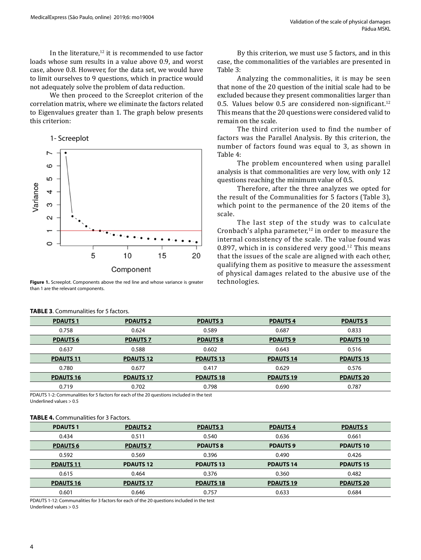In the literature, $12$  it is recommended to use factor loads whose sum results in a value above 0.9, and worst case, above 0.8. However, for the data set, we would have to limit ourselves to 9 questions, which in practice would not adequately solve the problem of data reduction.

We then proceed to the Screeplot criterion of the correlation matrix, where we eliminate the factors related to Eigenvalues greater than 1. The graph below presents this criterion:



**Figure 1.** Screeplot. Components above the red line and whose variance is greater than 1 are the relevant components.

By this criterion, we must use 5 factors, and in this case, the commonalities of the variables are presented in Table 3:

Analyzing the commonalities, it is may be seen that none of the 20 question of the initial scale had to be excluded because they present commonalities larger than 0.5. Values below 0.5 are considered non-significant.<sup>12</sup> This means that the 20 questions were considered valid to remain on the scale.

The third criterion used to find the number of factors was the Parallel Analysis. By this criterion, the number of factors found was equal to 3, as shown in Table 4:

The problem encountered when using parallel analysis is that commonalities are very low, with only 12 questions reaching the minimum value of 0.5.

Therefore, after the three analyzes we opted for the result of the Communalities for 5 factors (Table 3), which point to the permanence of the 20 items of the scale.

The last step of the study was to calculate Cronbach's alpha parameter, $12$  in order to measure the internal consistency of the scale. The value found was 0.897, which in is considered very good.<sup>12</sup> This means that the issues of the scale are aligned with each other, qualifying them as positive to measure the assessment of physical damages related to the abusive use of the

| <b>PDAUTS 1</b>  | <b>PDAUTS 2</b>  | <b>PDAUTS 3</b>  | <b>PDAUTS4</b>   | <b>PDAUTS 5</b>  |
|------------------|------------------|------------------|------------------|------------------|
| 0.758            | 0.624            | 0.589            | 0.687            | 0.833            |
| <b>PDAUTS 6</b>  | <b>PDAUTS 7</b>  | <b>PDAUTS 8</b>  | <b>PDAUTS 9</b>  | <b>PDAUTS 10</b> |
| 0.637            | 0.588            | 0.602            | 0.643            | 0.516            |
| <b>PDAUTS 11</b> | <b>PDAUTS 12</b> | <b>PDAUTS 13</b> | <b>PDAUTS 14</b> | <b>PDAUTS 15</b> |
| 0.780            | 0.677            | 0.417            | 0.629            | 0.576            |
| <b>PDAUTS 16</b> | <b>PDAUTS 17</b> | <b>PDAUTS 18</b> | <b>PDAUTS 19</b> | <b>PDAUTS 20</b> |
| 0.719            | 0.702            | 0.798            | 0.690            | 0.787            |

PDAUTS 1-2: Communalities for 5 factors for each of the 20 questions included in the test

Underlined values > 0.5

#### **TABLE 4.** Communalities for 3 Factors.

**TABLE 3**. Communalities for 5 factors.

| <b>PDAUTS 1</b>  | <b>PDAUTS 2</b>  | <b>PDAUTS 3</b>  | <b>PDAUTS4</b>   | <b>PDAUTS 5</b>  |
|------------------|------------------|------------------|------------------|------------------|
| 0.434            | 0.511            | 0.540            | 0.636            | 0.661            |
| <b>PDAUTS 6</b>  | <b>PDAUTS 7</b>  | <b>PDAUTS 8</b>  | <b>PDAUTS 9</b>  | <b>PDAUTS 10</b> |
| 0.592            | 0.569            | 0.396            | 0.490            | 0.426            |
| <b>PDAUTS 11</b> | <b>PDAUTS 12</b> | <b>PDAUTS 13</b> | <b>PDAUTS 14</b> | <b>PDAUTS 15</b> |
| 0.615            | 0.464            | 0.376            | 0.360            | 0.482            |
| <b>PDAUTS 16</b> | <b>PDAUTS 17</b> | <b>PDAUTS 18</b> | <b>PDAUTS 19</b> | <b>PDAUTS 20</b> |
| 0.601            | 0.646            | 0.757            | 0.633            | 0.684            |

PDAUTS 1-12: Communalities for 3 factors for each of the 20 questions included in the test Underlined values > 0.5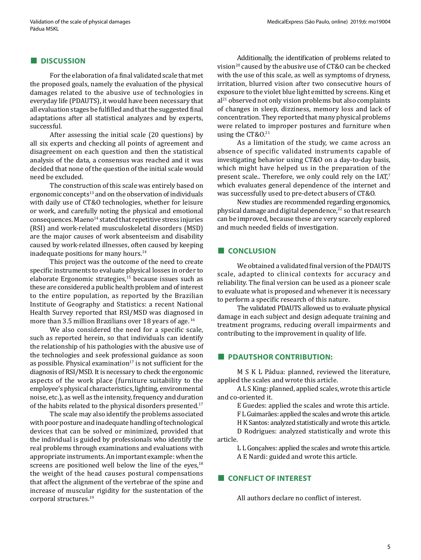# **■ DISCUSSION**

For the elaboration of a final validated scale that met the proposed goals, namely the evaluation of the physical damages related to the abusive use of technologies in everyday life (PDAUTS), it would have been necessary that all evaluation stages be fulfilled and that the suggested final adaptations after all statistical analyzes and by experts, successful.

After assessing the initial scale (20 questions) by all six experts and checking all points of agreement and disagreement on each question and then the statistical analysis of the data, a consensus was reached and it was decided that none of the question of the initial scale would need be excluded.

The construction of this scale was entirely based on ergonomic concepts<sup>13</sup> and on the observation of individuals with daily use of CT&O technologies, whether for leisure or work, and carefully noting the physical and emotional  $consequences. *Maeno*<sup>14</sup> stated that repetitive stress injuries$ (RSI) and work-related musculoskeletal disorders (MSD) are the major causes of work absenteeism and disability caused by work-related illnesses, often caused by keeping inadequate positions for many hours.<sup>14</sup>

This project was the outcome of the need to create specific instruments to evaluate physical losses in order to elaborate Ergonomic strategies,<sup>15</sup> because issues such as these are considered a public health problem and of interest to the entire population, as reported by the Brazilian Institute of Geography and Statistics: a recent National Health Survey reported that RSI/MSD was diagnosed in more than 3.5 million Brazilians over 18 years of age. 16

We also considered the need for a specific scale, such as reported herein, so that individuals can identify the relationship of his pathologies with the abusive use of the technologies and seek professional guidance as soon as possible. Physical examination $17$  is not sufficient for the diagnosis of RSI/MSD. It is necessary to check the ergonomic aspects of the work place (furniture suitability to the employee's physical characteristics, lighting, environmental noise, etc.), as well as the intensity, frequency and duration of the habits related to the physical disorders presented.<sup>17</sup>

The scale may also identify the problems associated with poor posture and inadequate handling of technological devices that can be solved or minimized, provided that the individual is guided by professionals who identify the real problems through examinations and evaluations with appropriate instruments. An important example: when the screens are positioned well below the line of the eyes, $18$ the weight of the head causes postural compensations that affect the alignment of the vertebrae of the spine and increase of muscular rigidity for the sustentation of the corporal structures.19

Additionally, the identification of problems related to vision<sup>20</sup> caused by the abusive use of CT&O can be checked with the use of this scale, as well as symptoms of dryness, irritation, blurred vision after two consecutive hours of exposure to the violet blue light emitted by screens. King et  $al<sup>21</sup>$  observed not only vision problems but also complaints of changes in sleep, dizziness, memory loss and lack of concentration. They reported that many physical problems were related to improper postures and furniture when using the CT&O.<sup>21</sup>

As a limitation of the study, we came across an absence of specific validated instruments capable of investigating behavior using CT&O on a day-to-day basis, which might have helped us in the preparation of the present scale.. Therefore, we only could rely on the IAT,<sup>7</sup> which evaluates general dependence of the internet and was successfully used to pre-detect abusers of CT&O.

New studies are recommended regarding ergonomics, physical damage and digital dependence,<sup>22</sup> so that research can be improved, because these are very scarcely explored and much needed fields of investigation.

# **■ CONCLUSION**

We obtained a validated final version of the PDAUTS scale, adapted to clinical contexts for accuracy and reliability. The final version can be used as a pioneer scale to evaluate what is proposed and whenever it is necessary to perform a specific research of this nature.

The validated PDAUTS allowed us to evaluate physical damage in each subject and design adequate training and treatment programs, reducing overall impairments and contributing to the improvement in quality of life.

#### **■ PDAUTSHOR CONTRIBUTION:**

M S K L Pádua: planned, reviewed the literature, applied the scales and wrote this article.

A L S King: planned, applied scales, wrote this article and co-oriented it.

E Guedes: applied the scales and wrote this article.

F L Guimarães: applied the scales and wrote this article.

H K Santos: analyzed statistically and wrote this article.

D Rodrigues: analyzed statistically and wrote this article.

L L Gonçalves: applied the scales and wrote this article. A E Nardi: guided and wrote this article.

# **■ CONFLICT OF INTEREST**

All authors declare no conflict of interest.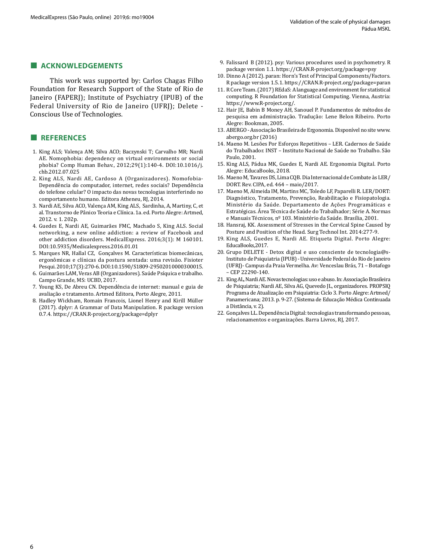### **■ ACKNOWLEDGEMENTS**

This work was supported by: Carlos Chagas Filho Foundation for Research Support of the State of Rio de Janeiro (FAPERJ); Institute of Psychiatry (IPUB) of the Federal University of Rio de Janeiro (UFRJ); Delete - Conscious Use of Technologies.

# **■ REFERENCES**

- 1. King ALS; Valença AM; Silva ACO; Baczynski T; Carvalho MR; Nardi AE. Nomophobia: dependency on virtual environments or social phobia? Comp Human Behav., 2012;29(1):140-4. DOI:10.1016/j. chb.2012.07.025
- 2. King ALS, Nardi AE, Cardoso A (Organizadores). Nomofobia-Dependência do computador, internet, redes sociais? Dependência do telefone celular? O impacto das novas tecnologias interferindo no comportamento humano. Editora Atheneu, RJ, 2014.
- 3. Nardi AE, Silva ACO, Valença AM, King ALS, Sardinha, A, Martiny, C, et al. Transtorno de Pânico Teoria e Clínica. 1a. ed. Porto Alegre: Artmed, 2012. v. 1. 202p.
- 4. Guedes E, Nardi AE, Guimarães FMC, Machado S, King ALS. Social networking, a new online addiction: a review of Facebook and other addiction disorders. MedicalExpress. 2016;3(1): M 160101. DOI:10.5935/Medicalexpress.2016.01.01
- 5. Marques NR, Hallal CZ, Gonçalves M. Características biomecânicas, ergonômicas e clínicas da postura sentada: uma revisão. Fisioter Pesqui. 2010;17(3):270-6. DOI:10.1590/S1809-29502010000300015.
- 6. Guimarães LAM, Veras AB (Organizadores). Saúde Psíquica e trabalho. Campo Grande, MS: UCBD, 2017.
- 7. Young KS, De Abreu CN. Dependência de internet: manual e guia de avaliação e tratamento. Artmed Editora, Porto Alegre, 2011.
- 8. Hadley Wickham, Romain Francois, Lionel Henry and Kirill Müller (2017). dplyr: A Grammar of Data Manipulation. R package version 0.7.4.<https://CRAN.R-project.org/package=dplyr>
- 9. Falissard B (2012). psy: Various procedures used in psychometry. R package version 1.1.<https://CRAN.R-project.org/package=psy>
- 10. Dinno A (2012). paran: Horn's Test of Principal Components/Factors. R package version 1.5.1.<https://CRAN.R-project.org/package=paran>
- 11. R Core Team. (2017) REdaS: A language and environment for statistical computing. R Foundation for Statistical Computing. Vienna, Austria: <https://www.R-project.org/>.
- 12. Hair JE, Babin B Money AH, Sanouel P. Fundamentos de métodos de pesquisa em administração. Tradução: Lene Belon Ribeiro. Porto Alegre: Bookman, 2005.
- 13. ABERGO Associação Brasileira de Ergonomia. Disponível no site [www.](http://www.abergo.org.br) [abergo.org.br](http://www.abergo.org.br) (2016)
- 14. Maeno M. Lesões Por Esforços Repetitivos LER. Cadernos de Saúde do Trabalhador. INST – Instituto Nacional de Saúde no Trabalho. São Paulo, 2001.
- 15. King ALS, Pádua MK, Guedes E, Nardi AE. Ergonomia Digital. Porto Alegre: EducaBooks, 2018.
- 16. Maeno M, Tavares DS, Lima CQB. Dia Internacional de Combate às LER/ DORT. Rev. CIPA, ed. 464 – maio/2017.
- 17. Maeno M, Almeida IM, Martins MC, Toledo LF, Paparelli R. LER/DORT: Diagnóstico, Tratamento, Prevenção, Reabilitação e Fisiopatologia. Ministério da Saúde. Departamento de Ações Programáticas e Estratégicas. Área Técnica de Saúde do Trabalhador; Série A. Normas e Manuais Técnicos, nº 103. Ministério da Saúde. Brasília, 2001.
- 18. Hansraj, KK. Assessment of Stresses in the Cervical Spine Caused by Posture and Position of the Head. Surg Technol Int. 2014:277-9.
- 19. King ALS, Guedes E, Nardi AE. Etiqueta Digital. Porto Alegre: EducaBooks,2017.
- 20. Grupo DELETE Detox digital e uso consciente de tecnologia@s-Instituto de Psiquiatria (IPUB) - Universidade Federal do Rio de Janeiro (UFRJ)- Campus da Praia Vermelha. Av: Venceslau Brás, 71 – Botafogo – CEP 22290-140.
- 21. King AL, Nardi AE. Novas tecnologias: uso e abuso. In: Associação Brasileira de Psiquiatria; Nardi AE, Silva AG, Quevedo JL, organizadores. PROPSIQ Programa de Atualização em Psiquiatria: Ciclo 3. Porto Alegre: Artmed/ Panamericana; 2013. p. 9-27. (Sistema de Educação Médica Continuada a Distância, v. 2).
- 22. Gonçalves LL. Dependência Digital: tecnologias transformando pessoas, relacionamentos e organizações. Barra Livros, RJ, 2017.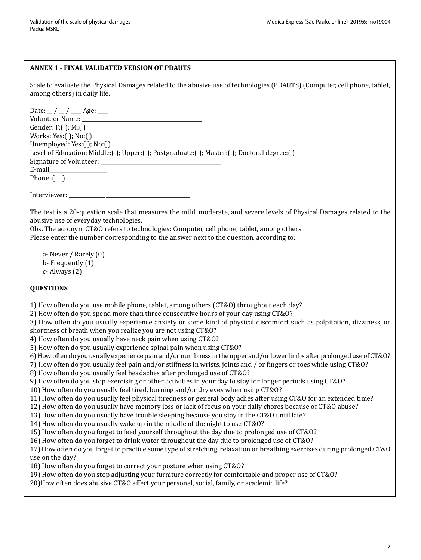# **ANNEX 1 - FINAL VALIDATED VERSION OF PDAUTS**

Scale to evaluate the Physical Damages related to the abusive use of technologies (PDAUTS) (Computer, cell phone, tablet, among others) in daily life.

Date:  $\_ / \_ / \_$ Age:  $\_$ Volunteer Name: Gender: F:( ); M:( ) Works: Yes:( ); No:( ) Unemployed: Yes:( ); No:( ) Level of Education: Middle:( ); Upper:( ); Postgraduate:( ); Master:( ); Doctoral degree:( ) Signature of Volunteer: E-mail\_\_\_\_\_\_\_\_\_\_\_\_\_\_\_\_\_\_\_\_\_\_ Phone  $.(\_)$ 

Interviewer:

The test is a 20-question scale that measures the mild, moderate, and severe levels of Physical Damages related to the abusive use of everyday technologies.

Obs. The acronym CT&O refers to technologies: Computer, cell phone, tablet, among others.

Please enter the number corresponding to the answer next to the question, according to:

a- Never / Rarely (0) b- Frequently (1) c- Always (2)

# **QUESTIONS**

1) How often do you use mobile phone, tablet, among others (CT&O) throughout each day?

2) How often do you spend more than three consecutive hours of your day using CT&O?

3) How often do you usually experience anxiety or some kind of physical discomfort such as palpitation, dizziness, or

shortness of breath when you realize you are not using CT&O?

4) How often do you usually have neck pain when using CT&O?

5) How often do you usually experience spinal pain when using CT&O?

6) How often do you usually experience pain and/or numbness in the upper and/or lower limbs after prolonged use of CT&O?

7) How often do you usually feel pain and/or stiffness in wrists, joints and / or fingers or toes while using CT&O?

8) How often do you usually feel headaches after prolonged use of CT&O?

9) How often do you stop exercising or other activities in your day to stay for longer periods using CT&O?

10) How often do you usually feel tired, burning and/or dry eyes when using CT&O?

11) How often do you usually feel physical tiredness or general body aches after using CT&O for an extended time?

12) How often do you usually have memory loss or lack of focus on your daily chores because of CT&O abuse?

13) How often do you usually have trouble sleeping because you stay in the CT&O until late?

14) How often do you usually wake up in the middle of the night to use CT&O?

15) How often do you forget to feed yourself throughout the day due to prolonged use of CT&O?

16) How often do you forget to drink water throughout the day due to prolonged use of CT&O?

17) How often do you forget to practice some type of stretching, relaxation or breathing exercises during prolonged CT&O use on the day?

18) How often do you forget to correct your posture when using CT&O?

19) How often do you stop adjusting your furniture correctly for comfortable and proper use of CT&O?

20)How often does abusive CT&O affect your personal, social, family, or academic life?